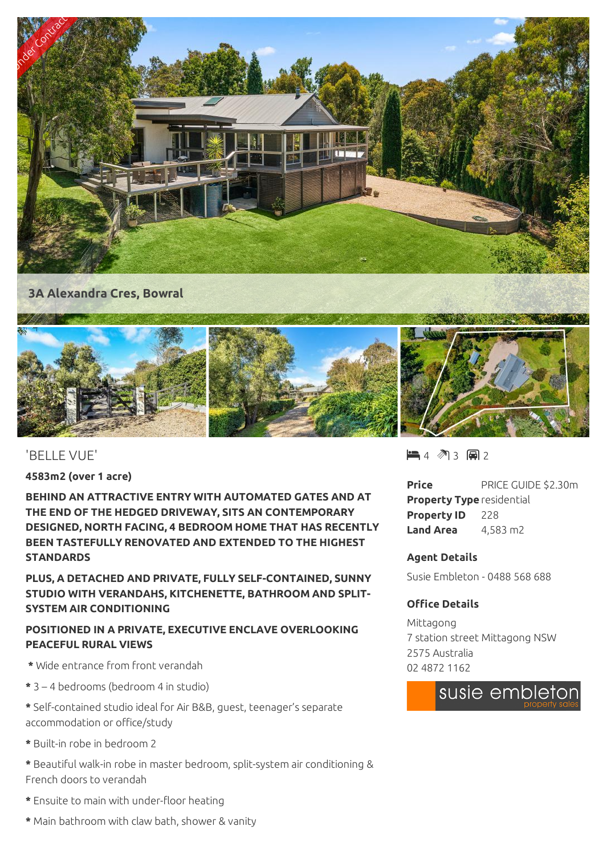

## 'BELLE VUE'

**4583m2 (over 1 acre)**

**BEHIND AN ATTRACTIVE ENTRY WITH AUTOMATED GATES AND AT THE END OF THE HEDGED DRIVEWAY, SITS AN CONTEMPORARY DESIGNED, NORTH FACING, 4 BEDROOM HOME THAT HAS RECENTLY BEEN TASTEFULLY RENOVATED AND EXTENDED TO THE HIGHEST STANDARDS**

**PLUS, A DETACHED AND PRIVATE, FULLY SELF-CONTAINED, SUNNY STUDIO WITH VERANDAHS, KITCHENETTE, BATHROOM AND SPLIT-SYSTEM AIR CONDITIONING**

# **POSITIONED IN A PRIVATE, EXECUTIVE ENCLAVE OVERLOOKING PEACEFUL RURAL VIEWS**

- **\*** Wide entrance from front verandah
- **\*** 3 4 bedrooms (bedroom 4 in studio)
- **\*** Self-contained studio ideal for Air B&B, guest, teenager's separate accommodation or office/study
- **\*** Built-in robe in bedroom 2
- **\*** Beautiful walk-in robe in master bedroom, split-system air conditioning & French doors to verandah
- **\*** Ensuite to main with under-floor heating
- **\*** Main bathroom with claw bath, shower & vanity

 $\blacksquare$  4 (  $\blacksquare$  3 (  $\blacksquare$  2

**Price** PRICE GUIDE \$2.30m **Property Type** residential **Property ID** 228 **Land Area** 4,583 m2

### **Agent Details**

Susie Embleton - 0488 568 688

### **Office Details**

Mittagong 7 station street Mittagong NSW 2575 Australia 02 4872 1162